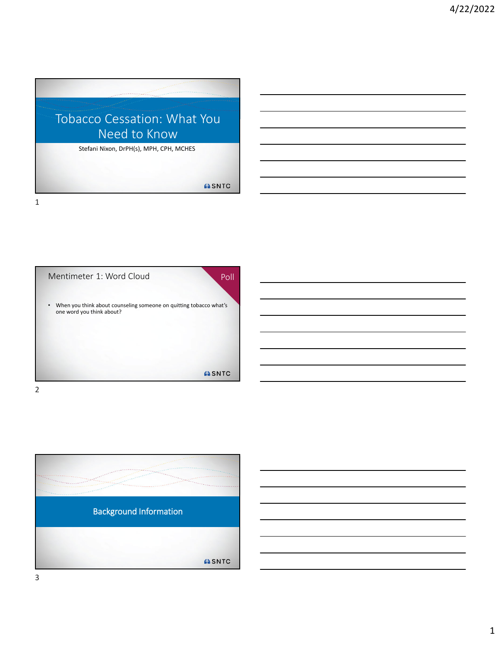

Mentimeter 1: Word Cloud • When you think about counseling someone on quitting tobacco what's one word you think about? ASNTC 2

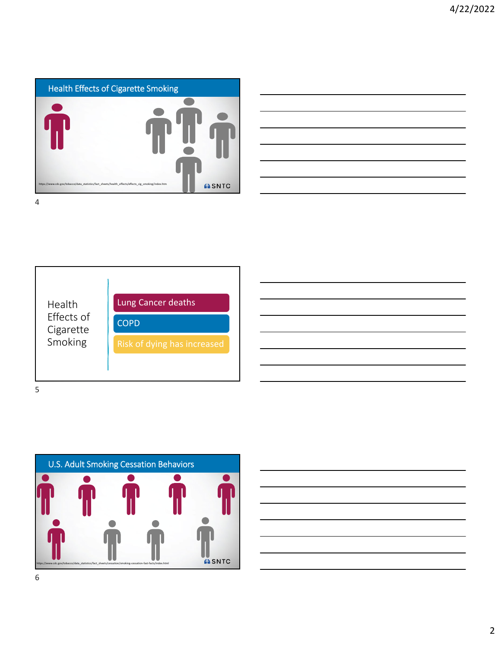

| <u> 1989 - Andrea Santa Andrea Andrea Andrea Andrea Andrea Andrea Andrea Andrea Andrea Andrea Andrea Andrea Andr</u>                                                 |  |
|----------------------------------------------------------------------------------------------------------------------------------------------------------------------|--|
|                                                                                                                                                                      |  |
|                                                                                                                                                                      |  |
|                                                                                                                                                                      |  |
| ,我们的人们就会在这里,我们的人们就会在这里,我们的人们就会在这里,我们的人们就会在这里,我们的人们就会在这里,我们的人们就会在这里,我们的人们就会在这里,我们<br>第151章 我们的人们的人们,我们的人们的人们的人们,我们的人们的人们的人们的人们的人们,我们的人们的人们的人们,我们的人们的人们的人们,我们的人们的人们的人们 |  |
| <u> 1989 - Andrea Santa Andrea Andrea Andrea Andrea Andrea Andrea Andrea Andrea Andrea Andrea Andrea Andrea Andr</u>                                                 |  |
|                                                                                                                                                                      |  |
|                                                                                                                                                                      |  |



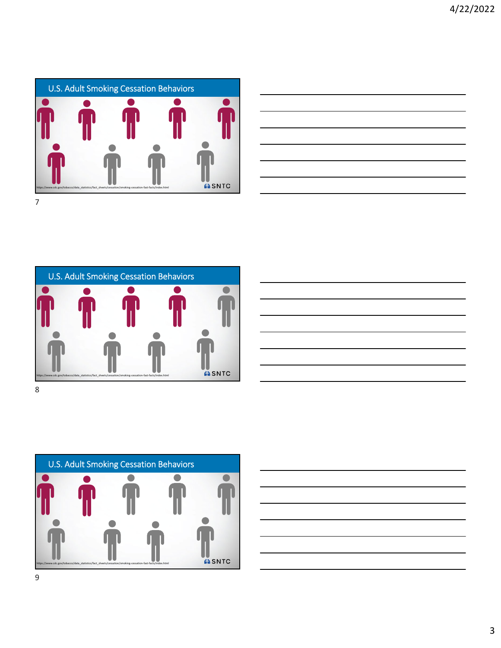









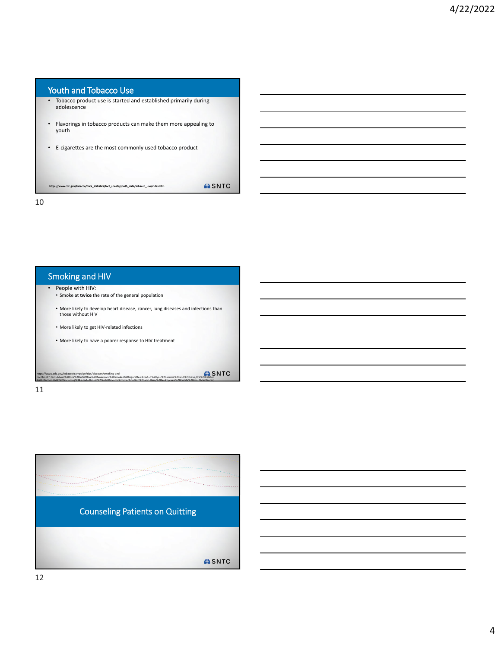#### Youth and Tobacco Use

- Tobacco product use is started and established primarily during adolescence
- Flavorings in tobacco products can make them more appealing to youth
- E‐cigarettes are the most commonly used tobacco product

https://www.cdc.gov/tobacco/data\_statistics/fact\_sheets/youth\_data/tobacco\_use/index.htm

10

#### Smoking and HIV

- People with HIV: • Smoke at **twice** the rate of the general population
- More likely to develop heart disease, cancer, lung diseases and infections than those without HIV
- More likely to get HIV‐related infections
- More likely to have a poorer response to HIV treatment

https://www.cdc.gov/tobacco/campaign/tips/diseases/smoking-and-<br>hiv.htmlil:":text=About%200ne%20in%20filve%20bmericans%20cigatetizes.&text=If%20you%20smoke%20and%20have,HIV%2DFelated<br>%20infortion=%20%20includine%3A&text=Th

**ASNTC** 

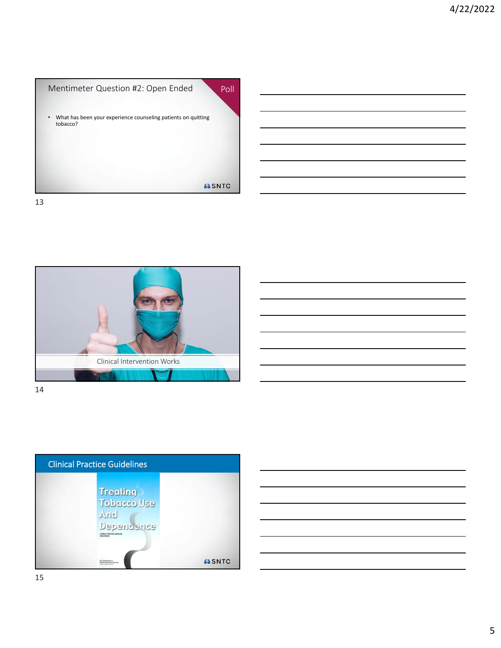





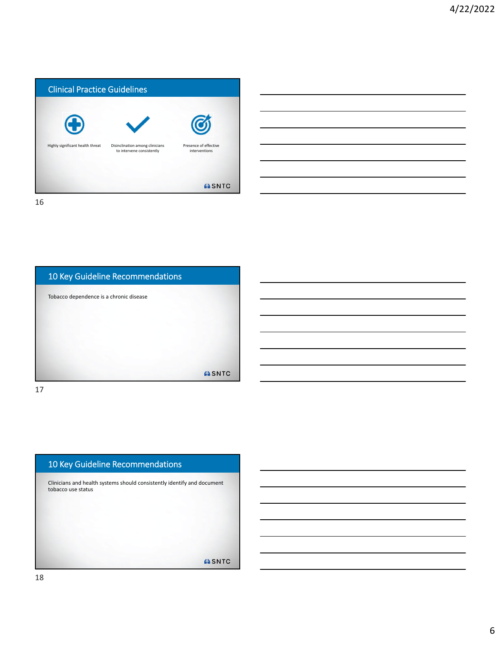

| 10 Key Guideline Recommendations        |              |
|-----------------------------------------|--------------|
| Tobacco dependence is a chronic disease |              |
|                                         |              |
|                                         |              |
|                                         |              |
|                                         | <b>ASNTC</b> |

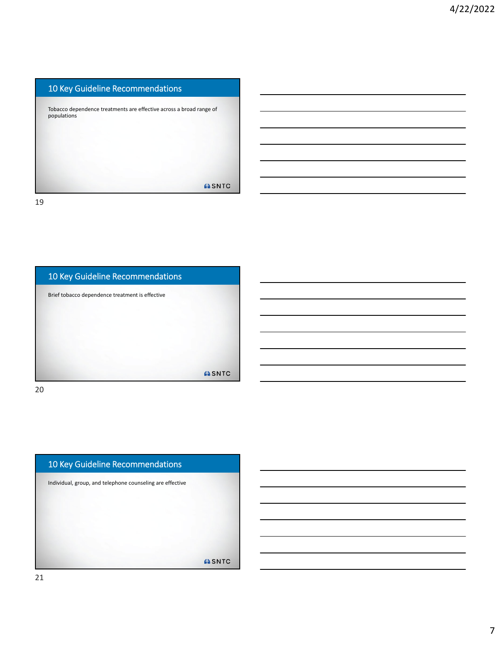#### 10 Key Guideline Recommendations

Tobacco dependence treatments are effective across a broad range of populations

**ASNTC** 

19



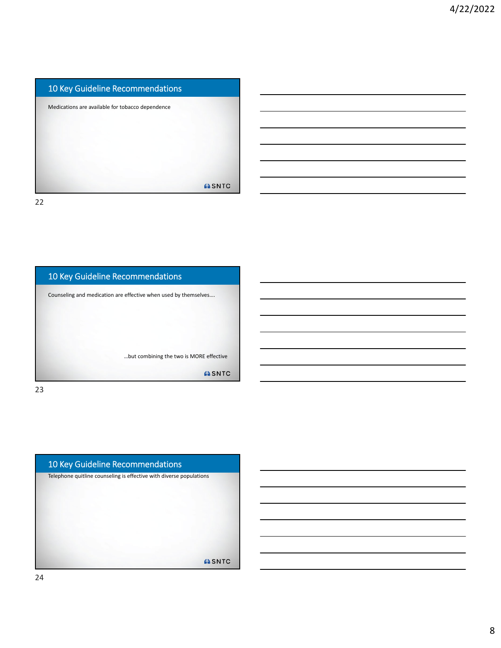# 10 Key Guideline Recommendations Medications are available for tobacco dependence **ASNTC**

22



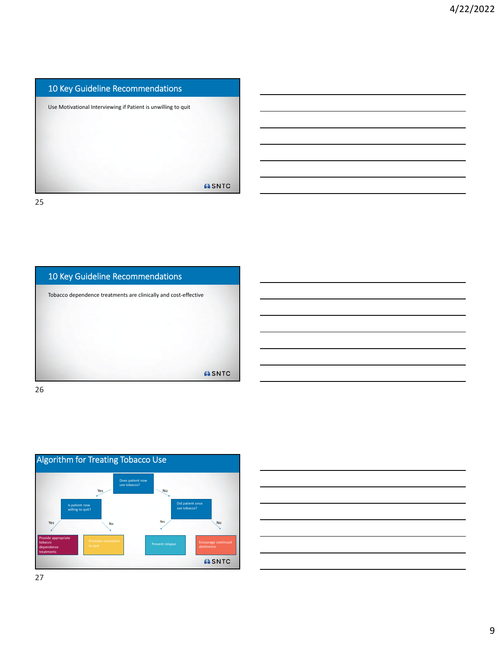## 10 Key Guideline Recommendations Use Motivational Interviewing if Patient is unwilling to quit **ASNTC** 25





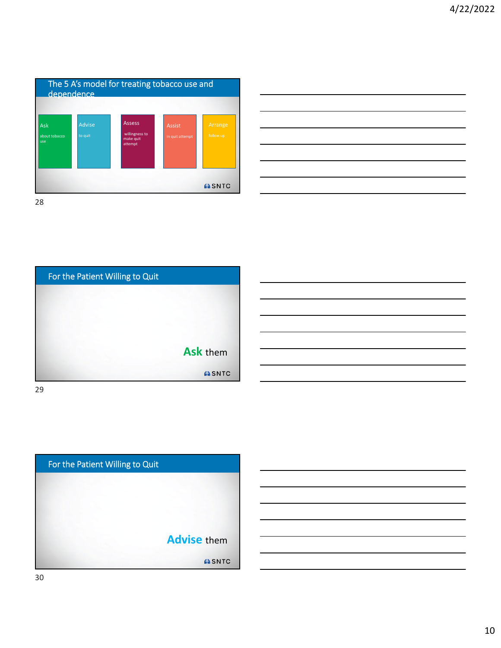

| <u> 1989 - Andrea Andrew Maria (h. 1989).</u> |  |
|-----------------------------------------------|--|
|                                               |  |
|                                               |  |
|                                               |  |
|                                               |  |
|                                               |  |
|                                               |  |
|                                               |  |
|                                               |  |
|                                               |  |
|                                               |  |
|                                               |  |
|                                               |  |
|                                               |  |
|                                               |  |
|                                               |  |

For the Patient Willing to Quit **Ask** them **ASNTC** 29

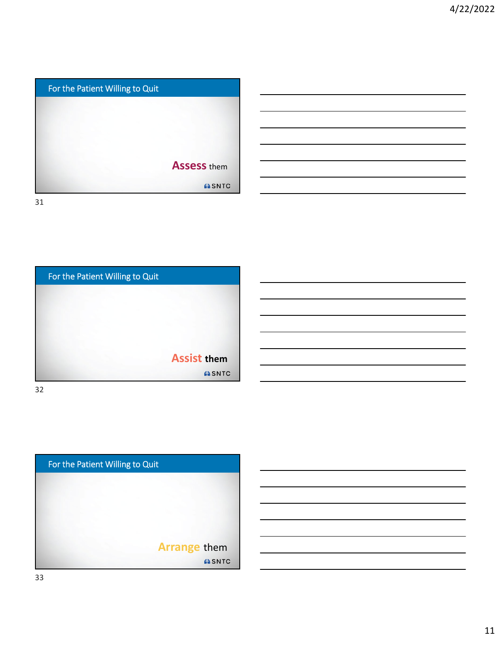



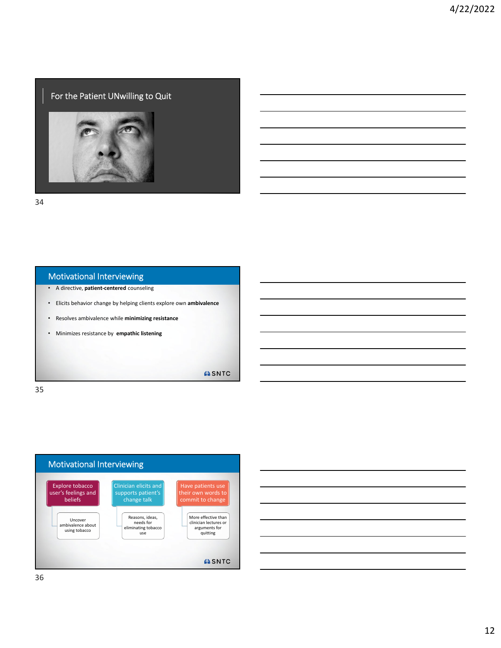#### For the Patient UNwilling to Quit



34

#### Motivational Interviewing

- A directive, **patient‐centered** counseling
- Elicits behavior change by helping clients explore own **ambivalence**
- Resolves ambivalence while **minimizing resistance**
- Minimizes resistance by **empathic listening**

ASNTC

35



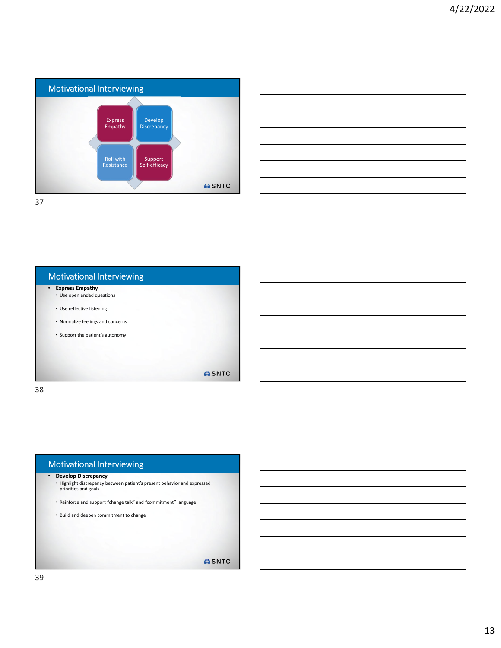

| <u> 1989 - Johann John Stone, markin sanadi amerikan bahasa dan berkembang di sebagai pertama dan berkembang di s</u>                                                                                                         |  |  |
|-------------------------------------------------------------------------------------------------------------------------------------------------------------------------------------------------------------------------------|--|--|
|                                                                                                                                                                                                                               |  |  |
| the control of the control of the control of the control of the control of the control of the control of the control of the control of the control of the control of the control of the control of the control of the control |  |  |
|                                                                                                                                                                                                                               |  |  |
| ,我们也不会有一个人的事情。""我们的人,我们也不会有一个人的人,我们也不会有一个人的人,我们也不会有一个人的人,我们也不会有一个人的人,我们也不会有一个人的人,<br>第二百一十一章 第二百一十一章 第二百一十一章 第二百一十一章 第二百一章 第二百一章 第二百一章 第二百一章 第二百一章 第二百一章 第二百一章 第二百一章 第                                                        |  |  |
|                                                                                                                                                                                                                               |  |  |

| <b>Motivational Interviewing</b>                     |              |
|------------------------------------------------------|--------------|
| <b>Express Empathy</b><br>• Use open ended questions |              |
| • Use reflective listening                           |              |
| • Normalize feelings and concerns                    |              |
| • Support the patient's autonomy                     |              |
|                                                      |              |
|                                                      |              |
|                                                      | <b>ASNTC</b> |
|                                                      |              |

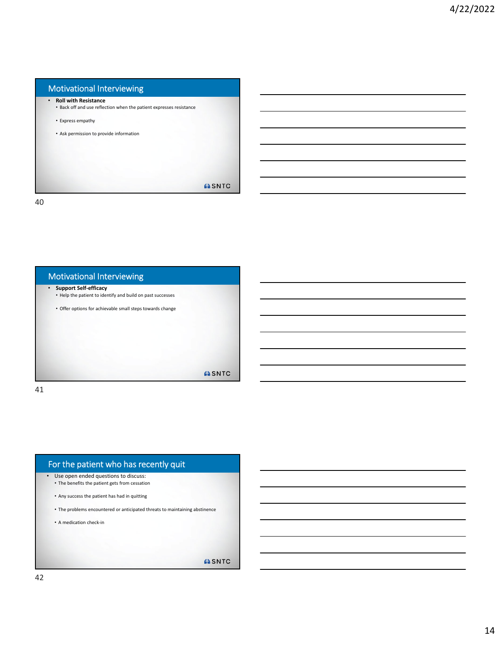### Motivational Interviewing • **Roll with Resistance** • Back off and use reflection when the patient expresses resistance • Express empathy • Ask permission to provide information **ASNTC** 40



#### For the patient who has recently quit • Use open ended questions to discuss: • The benefits the patient gets from cessation • Any success the patient has had in quitting • The problems encountered or anticipated threats to maintaining abstinence • A medication check‐in

**ASNTC**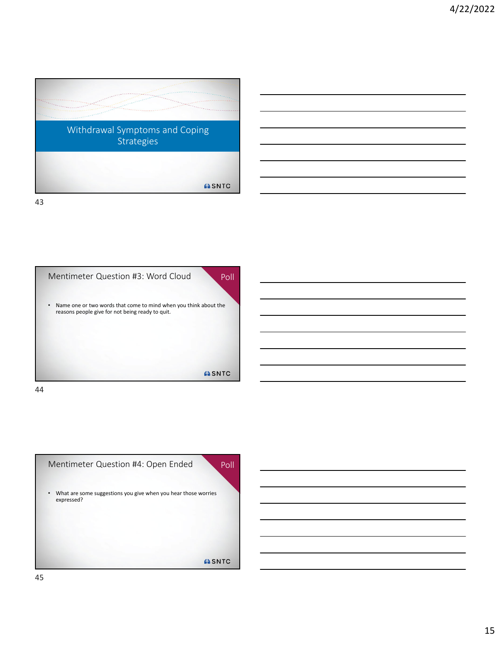



44

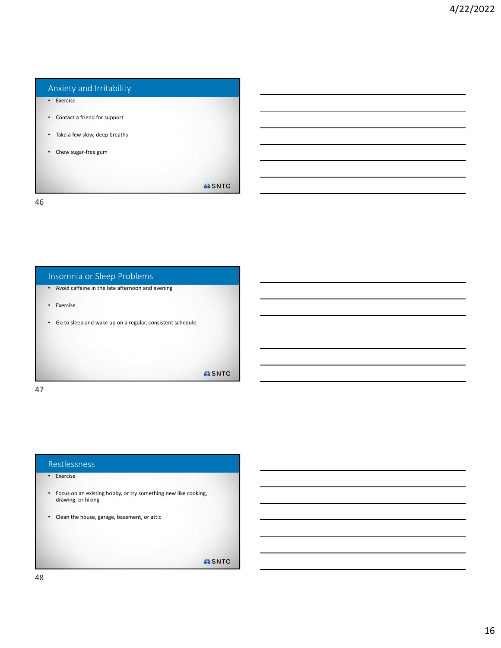#### Anxiety and Irritability

- Exercise
- Contact a friend for support
- Take a few slow, deep breaths
- Chew sugar‐free gum

**ASNTC** 

46



47

#### Restlessness

#### • Exercise

- Focus on an existing hobby, or try something new like cooking, drawing, or hiking
- Clean the house, garage, basement, or attic

**ASNTC**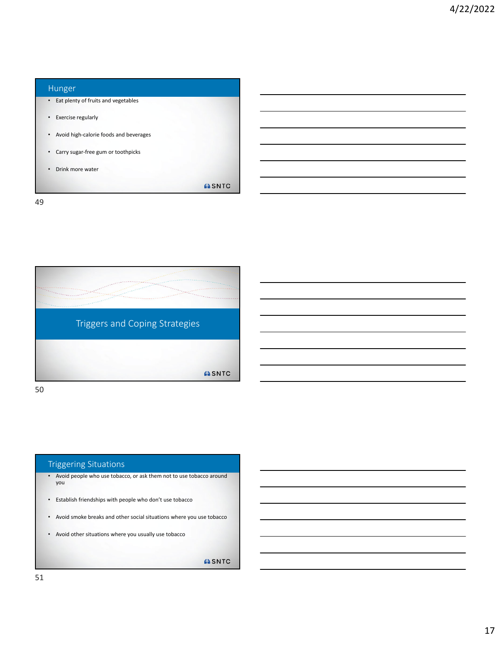#### Hunger

- Eat plenty of fruits and vegetables
- Exercise regularly
- Avoid high‐calorie foods and beverages
- Carry sugar‐free gum or toothpicks
- Drink more water

**ASNTC** 

49



50

#### Triggering Situations

- Avoid people who use tobacco, or ask them not to use tobacco around you
- Establish friendships with people who don't use tobacco
- Avoid smoke breaks and other social situations where you use tobacco
- Avoid other situations where you usually use tobacco

**ASNTC**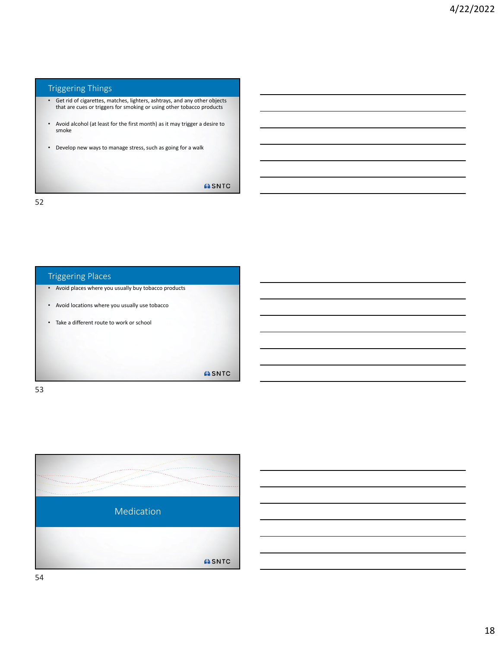#### Triggering Things

- Get rid of cigarettes, matches, lighters, ashtrays, and any other objects that are cues or triggers for smoking or using other tobacco products
- Avoid alcohol (at least for the first month) as it may trigger a desire to smoke
- Develop new ways to manage stress, such as going for a walk

**ASNTC** 

52



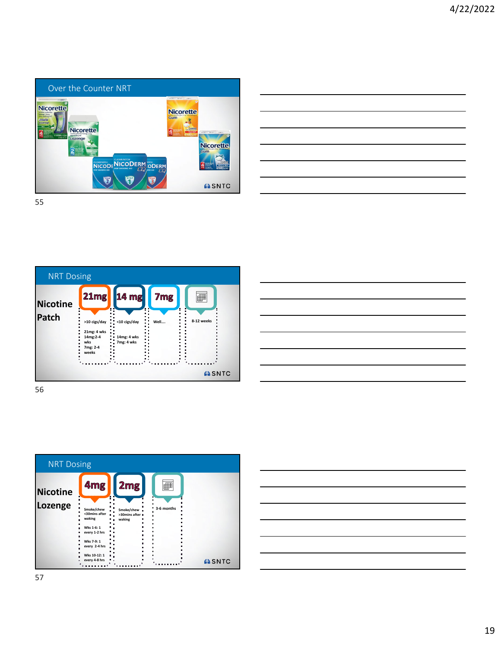

| <u> Alexandro de la contrada de la contrada de la contrada de la contrada de la contrada de la contrada de la con</u>                                                                                                                |  |                                      |
|--------------------------------------------------------------------------------------------------------------------------------------------------------------------------------------------------------------------------------------|--|--------------------------------------|
|                                                                                                                                                                                                                                      |  |                                      |
| <u> Andreas Andreas Andreas Andreas Andreas Andreas Andreas Andreas Andreas Andreas Andreas Andreas Andreas Andreas Andreas Andreas Andreas Andreas Andreas Andreas Andreas Andreas Andreas Andreas Andreas Andreas Andreas Andr</u> |  | $\overline{\phantom{iiiiiiiiiiiii}}$ |
|                                                                                                                                                                                                                                      |  |                                      |
|                                                                                                                                                                                                                                      |  | _____                                |
|                                                                                                                                                                                                                                      |  |                                      |
| the contract of the contract of the contract of the contract of the contract of the contract of the contract of                                                                                                                      |  |                                      |
|                                                                                                                                                                                                                                      |  |                                      |
| <u> 1999 - Johann Harry Harry Harry Harry Harry Harry Harry Harry Harry Harry Harry Harry Harry Harry Harry Harry Harry Harry Harry Harry Harry Harry Harry Harry Harry Harry Harry Harry Harry Harry Harry Harry Harry Harry Ha</u> |  | and the control of the con-          |
|                                                                                                                                                                                                                                      |  |                                      |
| the control of the control of the control of the control of the control of the control of the control of the control of the control of the control of the control of the control of the control of the control of the control        |  |                                      |





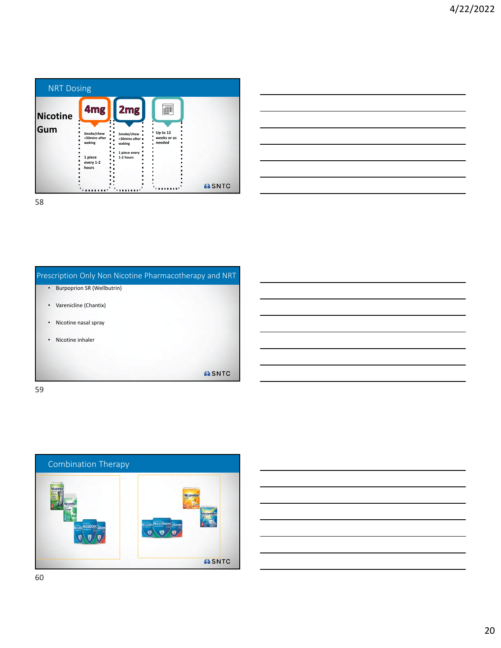| <b>NRT Dosing</b> |                                                                        |                                                                         |                                   |              |
|-------------------|------------------------------------------------------------------------|-------------------------------------------------------------------------|-----------------------------------|--------------|
| <b>Nicotine</b>   | 4 <sub>mg</sub>                                                        | 2mg                                                                     |                                   |              |
| Gum               | Smoke/chew<br><30mins after<br>waking<br>1 piece<br>every 1-2<br>hours | Smoke/chew =<br>>30mins after =<br>waking<br>1 piece every<br>1-2 hours | Up to 12<br>weeks or as<br>needed | <b>ASNTC</b> |
| 58                |                                                                        |                                                                         |                                   |              |

| the control of the control of the control of the control of the control of the control of |  |  |
|-------------------------------------------------------------------------------------------|--|--|
|                                                                                           |  |  |
|                                                                                           |  |  |
|                                                                                           |  |  |
|                                                                                           |  |  |
|                                                                                           |  |  |
|                                                                                           |  |  |

Prescription Only Non Nicotine Pharmacotherapy and NRT • Burpoprion SR (Wellbutrin) • Varenicline (Chantix) • Nicotine nasal spray • Nicotine inhaler ASNTC 59

Combination Therapy **Nicorett** CODERM ODE  $\bullet \bullet \bullet$ **ASNTC**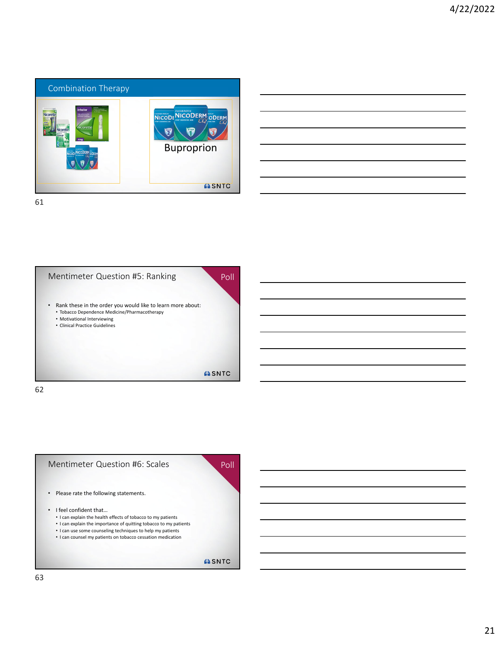

| <u> Andrew State (1996), som et al. 1999 i state et al. 1999 i state et al. 1999 i state et al. 1999 i state et a</u>  |  |  |
|------------------------------------------------------------------------------------------------------------------------|--|--|
| <u> 2000 - Andrea Andrew Maria (h. 1888).</u>                                                                          |  |  |
| <u> 1989 - Johann Stoff, deutscher Stoffen und der Stoffen und der Stoffen und der Stoffen und der Stoffen und der</u> |  |  |
|                                                                                                                        |  |  |
| <u> 2000 - Andrea Andrew Amerikaanse kommunister († 1952)</u>                                                          |  |  |
| the contract of the contract of the contract of the contract of the contract of                                        |  |  |